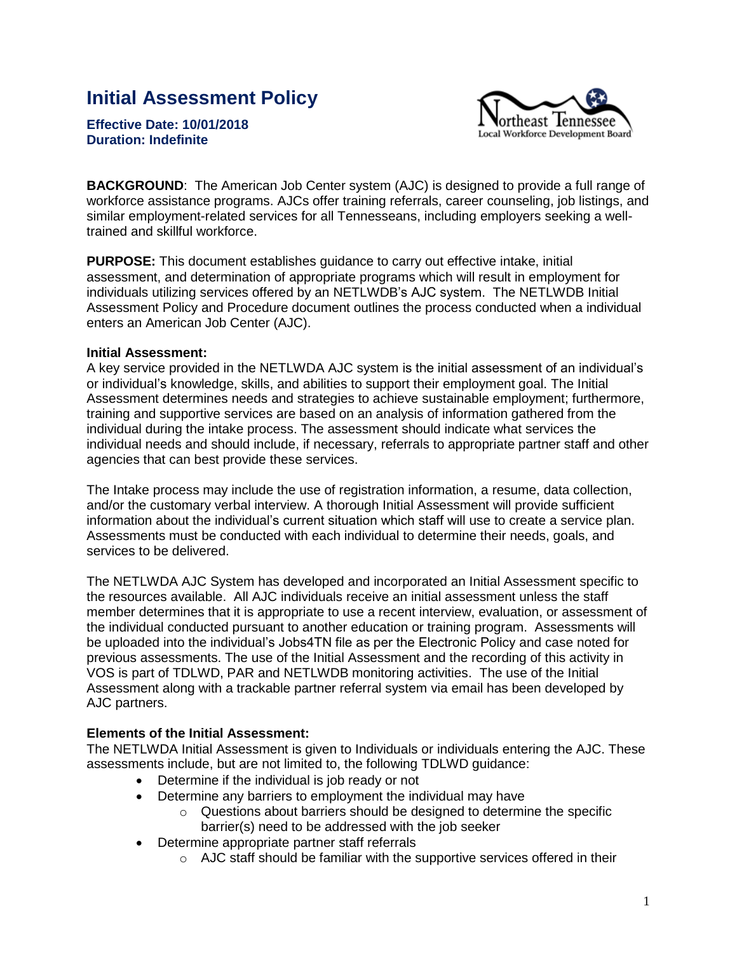# **Initial Assessment Policy**

**Effective Date: 10/01/2018 Duration: Indefinite** 



**BACKGROUND**: The American Job Center system (AJC) is designed to provide a full range of workforce assistance programs. AJCs offer training referrals, career counseling, job listings, and similar employment-related services for all Tennesseans, including employers seeking a welltrained and skillful workforce.

**PURPOSE:** This document establishes guidance to carry out effective intake, initial assessment, and determination of appropriate programs which will result in employment for individuals utilizing services offered by an NETLWDB's AJC system. The NETLWDB Initial Assessment Policy and Procedure document outlines the process conducted when a individual enters an American Job Center (AJC).

## **Initial Assessment:**

A key service provided in the NETLWDA AJC system is the initial assessment of an individual's or individual's knowledge, skills, and abilities to support their employment goal. The Initial Assessment determines needs and strategies to achieve sustainable employment; furthermore, training and supportive services are based on an analysis of information gathered from the individual during the intake process. The assessment should indicate what services the individual needs and should include, if necessary, referrals to appropriate partner staff and other agencies that can best provide these services.

The Intake process may include the use of registration information, a resume, data collection, and/or the customary verbal interview. A thorough Initial Assessment will provide sufficient information about the individual's current situation which staff will use to create a service plan. Assessments must be conducted with each individual to determine their needs, goals, and services to be delivered.

The NETLWDA AJC System has developed and incorporated an Initial Assessment specific to the resources available. All AJC individuals receive an initial assessment unless the staff member determines that it is appropriate to use a recent interview, evaluation, or assessment of the individual conducted pursuant to another education or training program. Assessments will be uploaded into the individual's Jobs4TN file as per the Electronic Policy and case noted for previous assessments. The use of the Initial Assessment and the recording of this activity in VOS is part of TDLWD, PAR and NETLWDB monitoring activities. The use of the Initial Assessment along with a trackable partner referral system via email has been developed by AJC partners.

## **Elements of the Initial Assessment:**

The NETLWDA Initial Assessment is given to Individuals or individuals entering the AJC. These assessments include, but are not limited to, the following TDLWD guidance:

- Determine if the individual is job ready or not
- Determine any barriers to employment the individual may have
	- o Questions about barriers should be designed to determine the specific barrier(s) need to be addressed with the job seeker
- Determine appropriate partner staff referrals
	- $\circ$  AJC staff should be familiar with the supportive services offered in their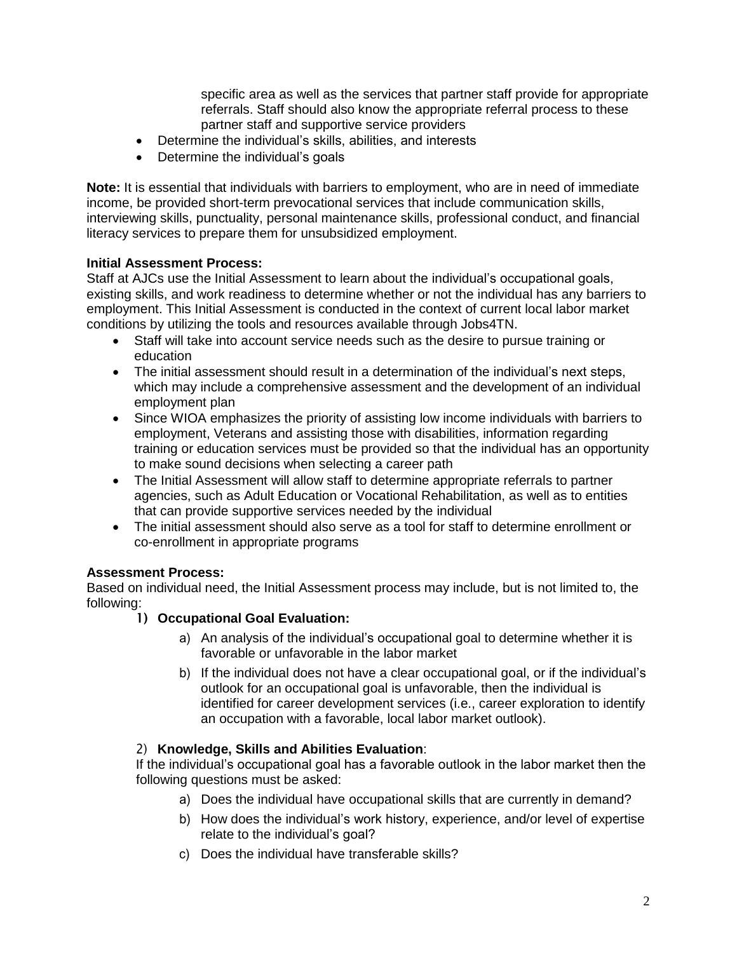specific area as well as the services that partner staff provide for appropriate referrals. Staff should also know the appropriate referral process to these partner staff and supportive service providers

- Determine the individual's skills, abilities, and interests
- Determine the individual's goals

**Note:** It is essential that individuals with barriers to employment, who are in need of immediate income, be provided short-term prevocational services that include communication skills, interviewing skills, punctuality, personal maintenance skills, professional conduct, and financial literacy services to prepare them for unsubsidized employment.

## **Initial Assessment Process:**

Staff at AJCs use the Initial Assessment to learn about the individual's occupational goals, existing skills, and work readiness to determine whether or not the individual has any barriers to employment. This Initial Assessment is conducted in the context of current local labor market conditions by utilizing the tools and resources available through Jobs4TN.

- Staff will take into account service needs such as the desire to pursue training or education
- The initial assessment should result in a determination of the individual's next steps, which may include a comprehensive assessment and the development of an individual employment plan
- Since WIOA emphasizes the priority of assisting low income individuals with barriers to employment, Veterans and assisting those with disabilities, information regarding training or education services must be provided so that the individual has an opportunity to make sound decisions when selecting a career path
- The Initial Assessment will allow staff to determine appropriate referrals to partner agencies, such as Adult Education or Vocational Rehabilitation, as well as to entities that can provide supportive services needed by the individual
- The initial assessment should also serve as a tool for staff to determine enrollment or co-enrollment in appropriate programs

# **Assessment Process:**

Based on individual need, the Initial Assessment process may include, but is not limited to, the following:

- 1) **Occupational Goal Evaluation:**
	- a) An analysis of the individual's occupational goal to determine whether it is favorable or unfavorable in the labor market
	- b) If the individual does not have a clear occupational goal, or if the individual's outlook for an occupational goal is unfavorable, then the individual is identified for career development services (i.e., career exploration to identify an occupation with a favorable, local labor market outlook).

## 2) **Knowledge, Skills and Abilities Evaluation**:

If the individual's occupational goal has a favorable outlook in the labor market then the following questions must be asked:

- a) Does the individual have occupational skills that are currently in demand?
- b) How does the individual's work history, experience, and/or level of expertise relate to the individual's goal?
- c) Does the individual have transferable skills?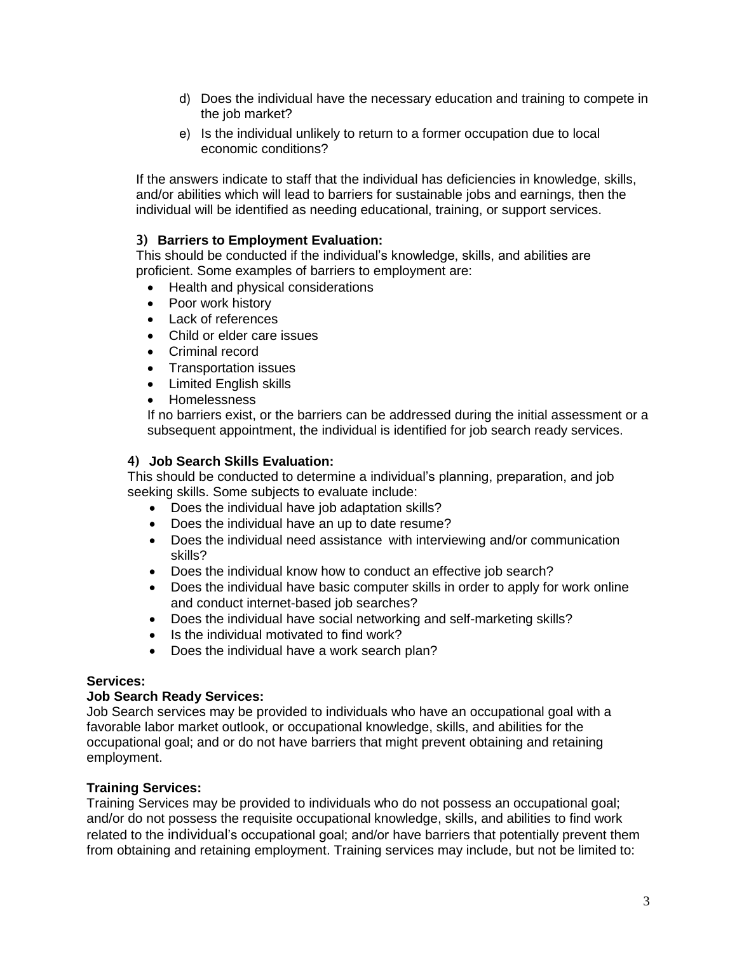- d) Does the individual have the necessary education and training to compete in the job market?
- e) Is the individual unlikely to return to a former occupation due to local economic conditions?

If the answers indicate to staff that the individual has deficiencies in knowledge, skills, and/or abilities which will lead to barriers for sustainable jobs and earnings, then the individual will be identified as needing educational, training, or support services.

#### 3) **Barriers to Employment Evaluation:**

This should be conducted if the individual's knowledge, skills, and abilities are proficient. Some examples of barriers to employment are:

- Health and physical considerations
- Poor work history
- Lack of references
- Child or elder care issues
- Criminal record
- Transportation issues
- Limited English skills
- Homelessness

If no barriers exist, or the barriers can be addressed during the initial assessment or a subsequent appointment, the individual is identified for job search ready services.

#### 4) **Job Search Skills Evaluation:**

This should be conducted to determine a individual's planning, preparation, and job seeking skills. Some subjects to evaluate include:

- Does the individual have job adaptation skills?
- Does the individual have an up to date resume?
- Does the individual need assistance with interviewing and/or communication skills?
- Does the individual know how to conduct an effective job search?
- Does the individual have basic computer skills in order to apply for work online and conduct internet-based job searches?
- Does the individual have social networking and self-marketing skills?
- Is the individual motivated to find work?
- Does the individual have a work search plan?

#### **Services:**

#### **Job Search Ready Services:**

Job Search services may be provided to individuals who have an occupational goal with a favorable labor market outlook, or occupational knowledge, skills, and abilities for the occupational goal; and or do not have barriers that might prevent obtaining and retaining employment.

#### **Training Services:**

Training Services may be provided to individuals who do not possess an occupational goal; and/or do not possess the requisite occupational knowledge, skills, and abilities to find work related to the individual's occupational goal; and/or have barriers that potentially prevent them from obtaining and retaining employment. Training services may include, but not be limited to: